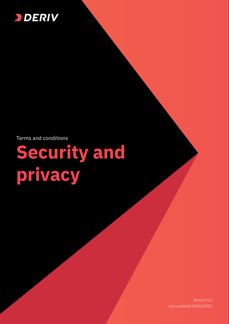

Terms and conditions

# **Security and privacy**

Version 5.0 Last updated 08/06/2022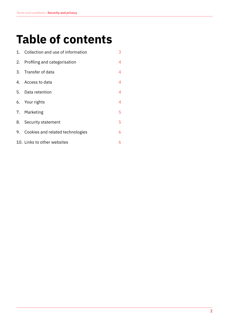## **Table of contents**

| $1_{\cdot}$ | Collection and use of information   | 3 |
|-------------|-------------------------------------|---|
|             | 2. Profiling and categorisation     | 4 |
| 3.          | Transfer of data                    | 4 |
| 4.          | Access to data                      | 4 |
|             | 5. Data retention                   | 4 |
|             | 6. Your rights                      | 4 |
|             | 7. Marketing                        | 5 |
| 8.          | Security statement                  | 5 |
|             | 9. Cookies and related technologies | 6 |
|             | 10. Links to other websites         | 6 |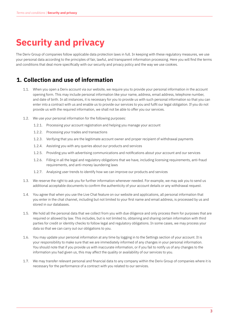### <span id="page-2-0"></span>**Security and privacy**

The Deriv Group of companies follow applicable data protection laws in full. In keeping with these regulatory measures, we use your personal data according to the principles of fair, lawful, and transparent information processing. Here you will find the terms and conditions that deal more specifically with our security and privacy policy and the way we use cookies.

#### **1. Collection and use of information**

- 1.1. When you open a Deriv account via our website, we require you to provide your personal information in the account opening form. This may include personal information like your name, address, email address, telephone number, and date of birth. In all instances, it is necessary for you to provide us with such personal information so that you can enter into a contract with us and enable us to provide our services to you and fulfil our legal obligation. If you do not provide us with the required information, we shall not be able to offer you our services.
- 1.2. We use your personal information for the following purposes:
	- 1.2.1. Processing your account registration and helping you manage your account
	- 1.2.2. Processing your trades and transactions
	- 1.2.3. Verifying that you are the legitimate account owner and proper recipient of withdrawal payments
	- 1.2.4. Assisting you with any queries about our products and services
	- 1.2.5. Providing you with advertising communications and notifications about your account and our services
	- 1.2.6. Filling in all the legal and regulatory obligations that we have, including licensing requirements, anti-fraud requirements, and anti-money laundering laws
	- 1.2.7. Analysing user trends to identify how we can improve our products and services
- 1.3. We reserve the right to ask you for further information whenever needed. For example, we may ask you to send us additional acceptable documents to confirm the authenticity of your account details or any withdrawal request.
- 1.4. You agree that when you use the Live Chat feature on our website and applications, all personal information that you enter in the chat channel, including but not limited to your first name and email address, is processed by us and stored in our databases.
- 1.5. We hold all the personal data that we collect from you with due diligence and only process them for purposes that are required or allowed by law. This includes, but is not limited to, obtaining and sharing certain information with third parties for credit or identity checks to follow legal and regulatory obligations. In some cases, we may process your data so that we can carry out our obligations to you.
- 1.6. You may update your personal information at any time by logging in to the Settings section of your account. It is your responsibility to make sure that we are immediately informed of any changes in your personal information. You should note that if you provide us with inaccurate information, or if you fail to notify us of any changes to the information you had given us, this may affect the quality or availability of our services to you.
- 1.7. We may transfer relevant personal and financial data to any company within the Deriv Group of companies where it is necessary for the performance of a contract with you related to our services.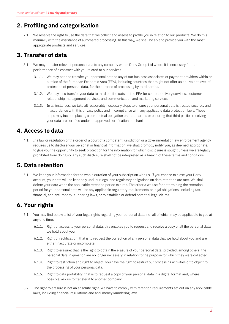#### <span id="page-3-0"></span>**2. Profiling and categorisation**

2.1. We reserve the right to use the data that we collect and assess to profile you in relation to our products. We do this manually with the assistance of automated processing. In this way, we shall be able to provide you with the most appropriate products and services.

#### **3. Transfer of data**

- 3.1. We may transfer relevant personal data to any company within Deriv Group Ltd where it is necessary for the performance of a contract with you related to our services.
	- 3.1.1. We may need to transfer your personal data to any of our business associates or payment providers within or outside of the European Economic Area (EEA), including countries that might not offer an equivalent level of protection of personal data, for the purpose of processing by third parties.
	- 3.1.2. We may also transfer your data to third parties outside the EEA for content delivery services, customer relationship management services, and communication and marketing services.
	- 3.1.3. In all instances, we take all reasonably necessary steps to ensure your personal data is treated securely and in accordance with this privacy policy and in compliance with any applicable data protection laws. These steps may include placing a contractual obligation on third parties or ensuring that third parties receiving your data are certified under an approved certification mechanism.

#### **4. Access to data**

4.1. If a law or regulation or the order of a court of a competent jurisdiction or a governmental or law enforcement agency requires us to disclose your personal or financial information, we shall promptly notify you, as deemed appropriate, to give you the opportunity to seek protection for the information for which disclosure is sought unless we are legally prohibited from doing so. Any such disclosure shall not be interpreted as a breach of these terms and conditions.

#### **5. Data retention**

5.1. We keep your information for the whole duration of your subscription with us. If you choose to close your Deriv account, your data will be kept only until our legal and regulatory obligations on data retention are met. We shall delete your data when the applicable retention period expires. The criteria we use for determining the retention period for your personal data will be any applicable regulatory requirements or legal obligations, including tax, financial, and anti-money laundering laws, or to establish or defend potential legal claims.

#### **6. Your rights**

- 6.1. You may find below a list of your legal rights regarding your personal data, not all of which may be applicable to you at any one time:
	- 6.1.1. Right of access to your personal data: this enables you to request and receive a copy of all the personal data we hold about you.
	- 6.1.2. Right of rectification: that is to request the correction of any personal data that we hold about you and are either inaccurate or incomplete.
	- 6.1.3. Right to erasure: that is the right to obtain the erasure of your personal data, provided, among others, the personal data in question are no longer necessary in relation to the purpose for which they were collected.
	- 6.1.4. Right to restriction and right to object: you have the right to restrict our processing activities or to object to the processing of your personal data.
	- 6.1.5. Right to data portability: that is to request a copy of your personal data in a digital format and, where possible, ask us to transfer it to another company.
- 6.2. The right to erasure is not an absolute right. We have to comply with retention requirements set out on any applicable laws, including financial regulations and anti-money laundering laws.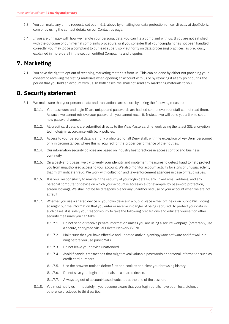- <span id="page-4-0"></span>6.3. You can make any of the requests set out in 6.1. above by emailing our data protection officer directly at dpo@deriv. com or by using the contact details on our Contact us page.
- 6.4. If you are unhappy with how we handle your personal data, you can file a complaint with us. If you are not satisfied with the outcome of our internal complaints procedure, or if you consider that your complaint has not been handled correctly, you may lodge a complaint to our lead supervisory authority on data processing practices, as previously explained in more detail in the section entitled Complaints and disputes.

#### **7. Marketing**

7.1. You have the right to opt out of receiving marketing materials from us. This can be done by either not providing your consent to receiving marketing materials when opening an account with us or by revoking it at any point during the period that you hold an account with us. In both cases, we shall not send any marketing materials to you.

#### **8. Security statement**

- 8.1. We make sure that your personal data and transactions are secure by taking the following measures:
	- 8.1.1. Your password and login ID are unique and passwords are hashed so that even our staff cannot read them. As such, we cannot retrieve your password if you cannot recall it. Instead, we will send you a link to set a new password yourself.
	- 8.1.2. All credit card details are submitted directly to the Visa/Mastercard network using the latest SSL encryption technology in accordance with bank policies.
	- 8.1.3. Access to your personal data is strictly prohibited for all Deriv staff, with the exception of key Deriv personnel only in circumstances where this is required for the proper performance of their duties.
	- 8.1.4. Our information security policies are based on industry best practices in access control and business continuity.
	- 8.1.5. On a best-effort basis, we try to verify your identity and implement measures to detect fraud to help protect you from unauthorised access to your account. We also monitor account activity for signs of unusual activity that might indicate fraud. We work with collection and law-enforcement agencies in case of fraud issues.
	- 8.1.6. It is your responsibility to maintain the security of your login details, any linked email address, and any personal computer or device on which your account is accessible (for example, by password protection, screen locking). We shall not be held responsible for any unauthorised use of your account when we are not at fault.
	- 8.1.7. Whether you use a shared device or your own device in a public place either offline or on public WiFi, doing so might put the information that you enter or receive in danger of being captured. To protect your data in such cases, it is solely your responsibility to take the following precautions and educate yourself on other security measures you can take:
		- 8.1.7.1. Do not send or receive private information unless you are using a secure webpage (preferably, use a secure, encrypted Virtual Private Network (VPN).
		- 8.1.7.2. Make sure that you have effective and updated antivirus/antispyware software and firewall running before you use public WiFi.
		- 8.1.7.3. Do not leave your device unattended.
		- 8.1.7.4. Avoid financial transactions that might reveal valuable passwords or personal information such as credit card numbers.
		- 8.1.7.5. Use the browser tools to delete files and cookies and clear your browsing history.
		- 8.1.7.6. Do not save your login credentials on a shared device.
		- 8.1.7.7. Always log out of account-based websites at the end of the session.
	- 8.1.8. You must notify us immediately if you become aware that your login details have been lost, stolen, or otherwise disclosed to third parties.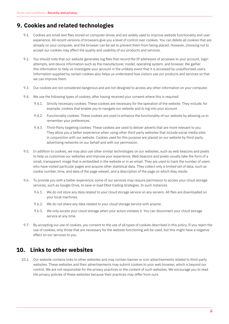#### **9. Cookies and related technologies**

- 9.1. Cookies are small text files stored on computer drives and are widely used to improve website functionality and user experience. All recent versions of browsers give you a level of control over cookies. You can delete all cookies that are already on your computer, and the browser can be set to prevent them from being placed. However, choosing not to accept our cookies may affect the quality and usability of our products and services.
- 9.2. You should note that our website generates log files that record the IP addresses of accesses to your account, login attempts, and device information such as the manufacturer, model, operating system, and browser. We gather this information to help us investigate your account in the unlikely event that it is accessed by unauthorised users. Information supplied by certain cookies also helps us understand how visitors use our products and services so that we can improve them.
- 9.3. Our cookies are not considered dangerous and are not designed to access any other information on your computer.
- 9.4. We use the following types of cookies, after having received your consent where this is required:
	- 9.4.1. Strictly necessary cookies: These cookies are necessary for the operation of the website. They include, for example, cookies that enable you to navigate our website and to log into your account.
	- 9.4.2. Functionality cookies: These cookies are used to enhance the functionality of our website by allowing us to remember your preferences.
	- 9.4.3. Third-Party targeting cookies: These cookies are used to deliver adverts that are more relevant to you. They allow you a better experience when using other third-party websites that include social media sites in conjunction with our website. Cookies used for this purpose are placed on our website by third-party advertising networks on our behalf and with our permission.
- 9.5. In addition to cookies, we may also use other similar technologies on our websites, such as web beacons and pixels to help us customise our websites and improve your experience. Web beacons and pixels usually take the form of a small, transparent image that is embedded in the website or in an email. They are used to track the number of users who have visited particular pages and acquire other statistical data. They collect only a limited set of data, such as cookie number, time, and data of the page viewed, and a description of the page on which they reside.
- 9.6. To provide you with a better experience, some of our services may require permission to access your cloud storage services, such as Google Drive, to save or load Dbot trading strategies. In such instances
	- 9.6.1. We do not store any data related to your cloud storage service on any servers. All files are downloaded on your local machines.
	- 9.6.2. We do not share any data related to your cloud storage service with anyone.
	- 9.6.3. We only access your cloud storage when your action initiates it. You can disconnect your cloud storage service at any time.
- 9.7. By accepting our use of cookies, you consent to the use of all types of cookies described in this policy. If you reject the use of cookies, only those that are necessary for the website functioning will be used, but this might have a negative effect on our services to you.

#### **10. Links to other websites**

10.1. Our website contains links to other websites and may contain banner or icon advertisements related to third-party websites. These websites and their advertisements may submit cookies to your web browser, which is beyond our control. We are not responsible for the privacy practices or the content of such websites. We encourage you to read the privacy policies of these websites because their practices may differ from ours.